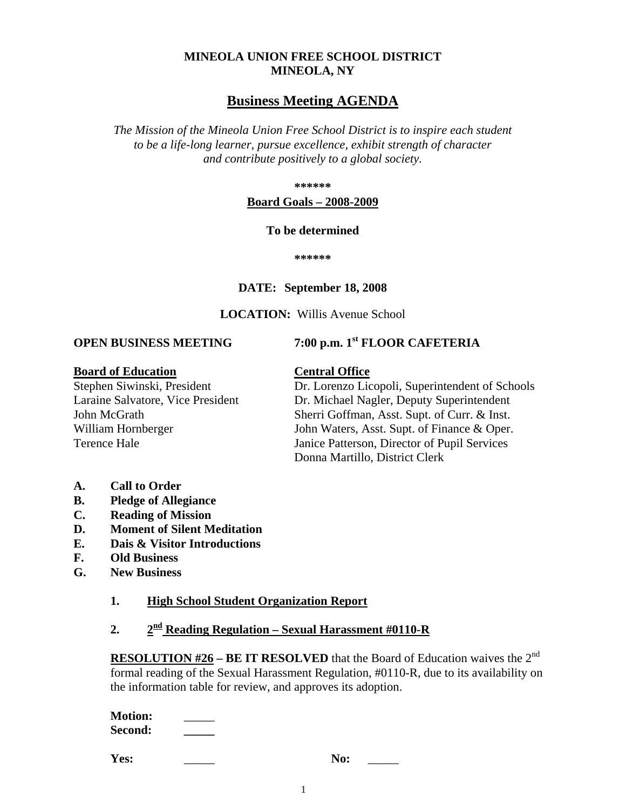# **MINEOLA UNION FREE SCHOOL DISTRICT MINEOLA, NY**

# **Business Meeting AGENDA**

*The Mission of the Mineola Union Free School District is to inspire each student to be a life-long learner, pursue excellence, exhibit strength of character and contribute positively to a global society.*

**\*\*\*\*\*\***

#### **Board Goals – 2008-2009**

#### **To be determined**

**\*\*\*\*\*\***

#### **DATE: September 18, 2008**

#### **LOCATION:** Willis Avenue School

**OPEN BUSINESS MEETING 7:00 p.m. 1st FLOOR CAFETERIA**

#### **Board of Education Central Office**

Stephen Siwinski, President Dr. Lorenzo Licopoli, Superintendent of Schools<br>
Laraine Salvatore. Vice President Dr. Michael Nagler. Deputy Superintendent Dr. Michael Nagler, Deputy Superintendent John McGrath Sherri Goffman, Asst. Supt. of Curr. & Inst. William Hornberger John Waters, Asst. Supt. of Finance & Oper. Terence Hale Janice Patterson, Director of Pupil Services Donna Martillo, District Clerk

- **A. Call to Order**
- **B. Pledge of Allegiance**
- **C. Reading of Mission**
- **D. Moment of Silent Meditation**
- **E. Dais & Visitor Introductions**
- **F. Old Business**
- **G. New Business**

#### **1. High School Student Organization Report**

**2. 2nd Reading Regulation – Sexual Harassment #0110-R**

**RESOLUTION #26** – **BE IT RESOLVED** that the Board of Education waives the 2<sup>nd</sup> formal reading of the Sexual Harassment Regulation, #0110-R, due to its availability on the information table for review, and approves its adoption.

| <b>Motion:</b> |  |
|----------------|--|
| <b>Second:</b> |  |

**Yes:** No: \_\_\_\_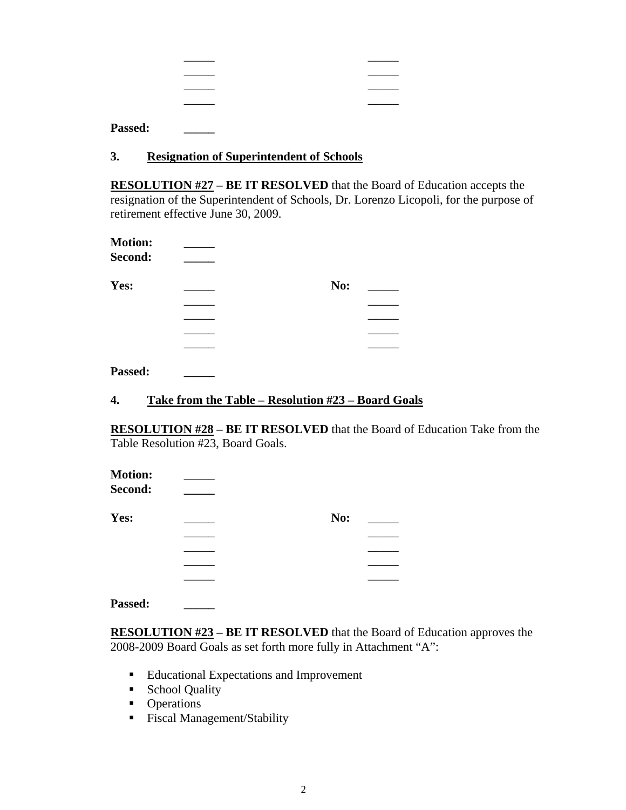| ______ | _____ |
|--------|-------|
| _____  |       |
| ______ | _____ |
|        |       |

**Passed: \_\_\_\_\_**

#### **3. Resignation of Superintendent of Schools**

**RESOLUTION #27 – BE IT RESOLVED** that the Board of Education accepts the resignation of the Superintendent of Schools, Dr. Lorenzo Licopoli, for the purpose of retirement effective June 30, 2009.

| <b>Motion:</b> |     |  |
|----------------|-----|--|
| Second:        |     |  |
| Yes:           | No: |  |
|                |     |  |
|                |     |  |
|                |     |  |
|                |     |  |
| Passed:        |     |  |

# **4. Take from the Table – Resolution #23 – Board Goals**

**RESOLUTION #28 – BE IT RESOLVED** that the Board of Education Take from the Table Resolution #23, Board Goals.

| <b>Motion:</b><br>Second: |     |  |
|---------------------------|-----|--|
| Yes:                      | No: |  |
|                           |     |  |
|                           |     |  |
|                           |     |  |
|                           |     |  |

**Passed: \_\_\_\_\_**

**RESOLUTION #23 – BE IT RESOLVED** that the Board of Education approves the 2008-2009 Board Goals as set forth more fully in Attachment "A":

- Educational Expectations and Improvement
- School Quality
- Operations
- **Fiscal Management/Stability**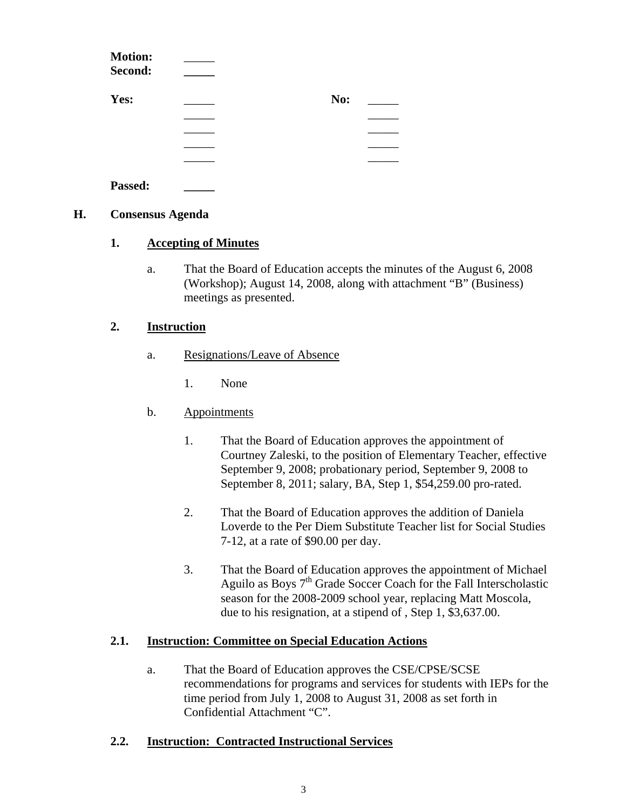| <b>Motion:</b><br>Second: |     |  |
|---------------------------|-----|--|
| Yes:                      | No: |  |
|                           |     |  |
|                           |     |  |
|                           |     |  |
|                           |     |  |
| Passed:                   |     |  |

#### **H. Consensus Agenda**

#### **1. Accepting of Minutes**

a. That the Board of Education accepts the minutes of the August 6, 2008 (Workshop); August 14, 2008, along with attachment "B" (Business) meetings as presented.

# **2. Instruction**

- a. Resignations/Leave of Absence
	- 1. None

# b. Appointments

- 1. That the Board of Education approves the appointment of Courtney Zaleski, to the position of Elementary Teacher, effective September 9, 2008; probationary period, September 9, 2008 to September 8, 2011; salary, BA, Step 1, \$54,259.00 pro-rated.
- 2. That the Board of Education approves the addition of Daniela Loverde to the Per Diem Substitute Teacher list for Social Studies 7-12, at a rate of \$90.00 per day.
- 3. That the Board of Education approves the appointment of Michael Aguilo as Boys 7<sup>th</sup> Grade Soccer Coach for the Fall Interscholastic season for the 2008-2009 school year, replacing Matt Moscola, due to his resignation, at a stipend of , Step 1, \$3,637.00.

# **2.1. Instruction: Committee on Special Education Actions**

a. That the Board of Education approves the CSE/CPSE/SCSE recommendations for programs and services for students with IEPs for the time period from July 1, 2008 to August 31, 2008 as set forth in Confidential Attachment "C".

# **2.2. Instruction: Contracted Instructional Services**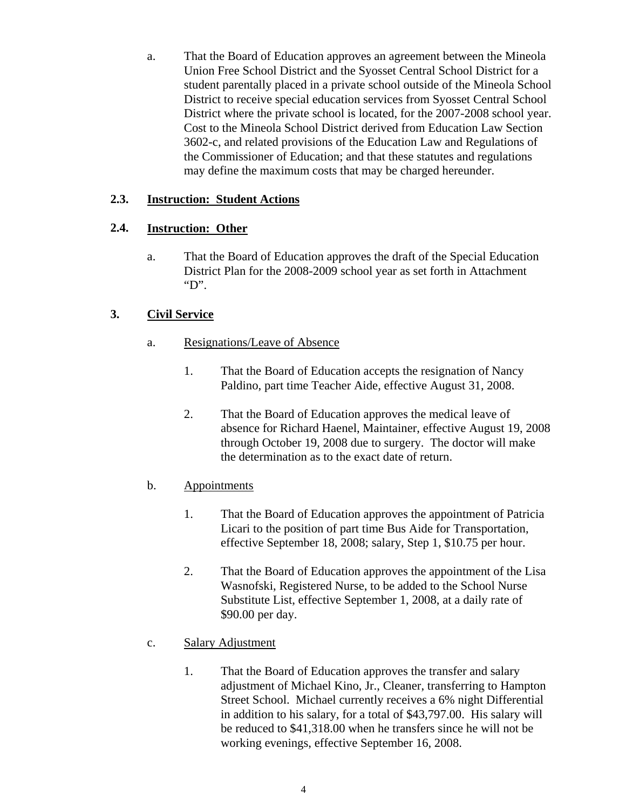a. That the Board of Education approves an agreement between the Mineola Union Free School District and the Syosset Central School District for a student parentally placed in a private school outside of the Mineola School District to receive special education services from Syosset Central School District where the private school is located, for the 2007-2008 school year. Cost to the Mineola School District derived from Education Law Section 3602-c, and related provisions of the Education Law and Regulations of the Commissioner of Education; and that these statutes and regulations may define the maximum costs that may be charged hereunder.

# **2.3. Instruction: Student Actions**

# **2.4. Instruction: Other**

a. That the Board of Education approves the draft of the Special Education District Plan for the 2008-2009 school year as set forth in Attachment "D".

# **3. Civil Service**

- a. Resignations/Leave of Absence
	- 1. That the Board of Education accepts the resignation of Nancy Paldino, part time Teacher Aide, effective August 31, 2008.
	- 2. That the Board of Education approves the medical leave of absence for Richard Haenel, Maintainer, effective August 19, 2008 through October 19, 2008 due to surgery. The doctor will make the determination as to the exact date of return.

# b. Appointments

- 1. That the Board of Education approves the appointment of Patricia Licari to the position of part time Bus Aide for Transportation, effective September 18, 2008; salary, Step 1, \$10.75 per hour.
- 2. That the Board of Education approves the appointment of the Lisa Wasnofski, Registered Nurse, to be added to the School Nurse Substitute List, effective September 1, 2008, at a daily rate of \$90.00 per day.
- c. Salary Adjustment
	- 1. That the Board of Education approves the transfer and salary adjustment of Michael Kino, Jr., Cleaner, transferring to Hampton Street School. Michael currently receives a 6% night Differential in addition to his salary, for a total of \$43,797.00. His salary will be reduced to \$41,318.00 when he transfers since he will not be working evenings, effective September 16, 2008.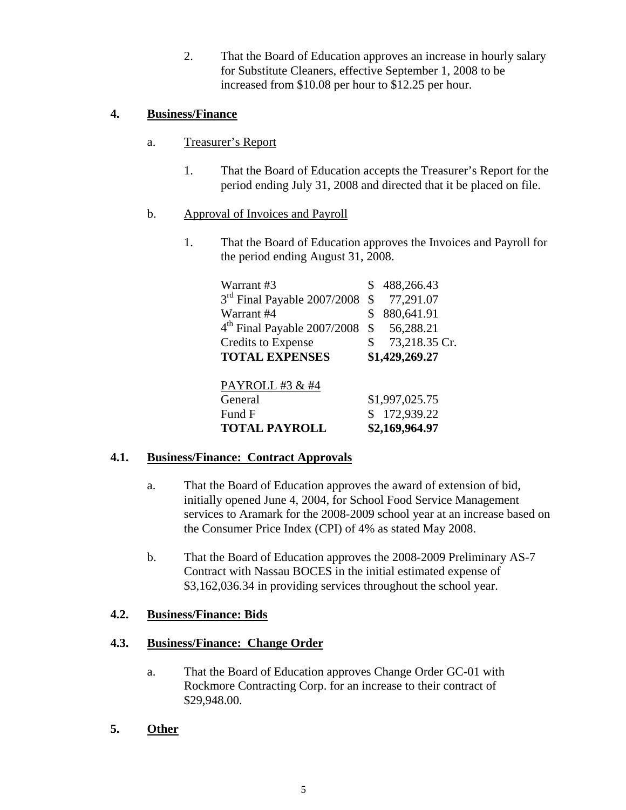2. That the Board of Education approves an increase in hourly salary for Substitute Cleaners, effective September 1, 2008 to be increased from \$10.08 per hour to \$12.25 per hour.

# **4. Business/Finance**

- a. Treasurer's Report
	- 1. That the Board of Education accepts the Treasurer's Report for the period ending July 31, 2008 and directed that it be placed on file.
- b. Approval of Invoices and Payroll
	- 1. That the Board of Education approves the Invoices and Payroll for the period ending August 31, 2008.

| Warrant #3                              | 488,266.43          |
|-----------------------------------------|---------------------|
| 3 <sup>rd</sup> Final Payable 2007/2008 | \$<br>77,291.07     |
| Warrant #4                              | \$<br>880,641.91    |
| 4 <sup>th</sup> Final Payable 2007/2008 | \$<br>56,288.21     |
| <b>Credits to Expense</b>               | \$<br>73,218.35 Cr. |
| <b>TOTAL EXPENSES</b>                   | \$1,429,269.27      |
|                                         |                     |
| PAYROLL #3 & #4                         |                     |
| General                                 | \$1,997,025.75      |
| Fund F                                  | 172,939.22          |
| <b>TOTAL PAYROLL</b>                    | \$2,169,964.97      |

# **4.1. Business/Finance: Contract Approvals**

- a. That the Board of Education approves the award of extension of bid, initially opened June 4, 2004, for School Food Service Management services to Aramark for the 2008-2009 school year at an increase based on the Consumer Price Index (CPI) of 4% as stated May 2008.
- b. That the Board of Education approves the 2008-2009 Preliminary AS-7 Contract with Nassau BOCES in the initial estimated expense of \$3,162,036.34 in providing services throughout the school year.

# **4.2. Business/Finance: Bids**

# **4.3. Business/Finance: Change Order**

- a. That the Board of Education approves Change Order GC-01 with Rockmore Contracting Corp. for an increase to their contract of \$29,948.00.
- **5. Other**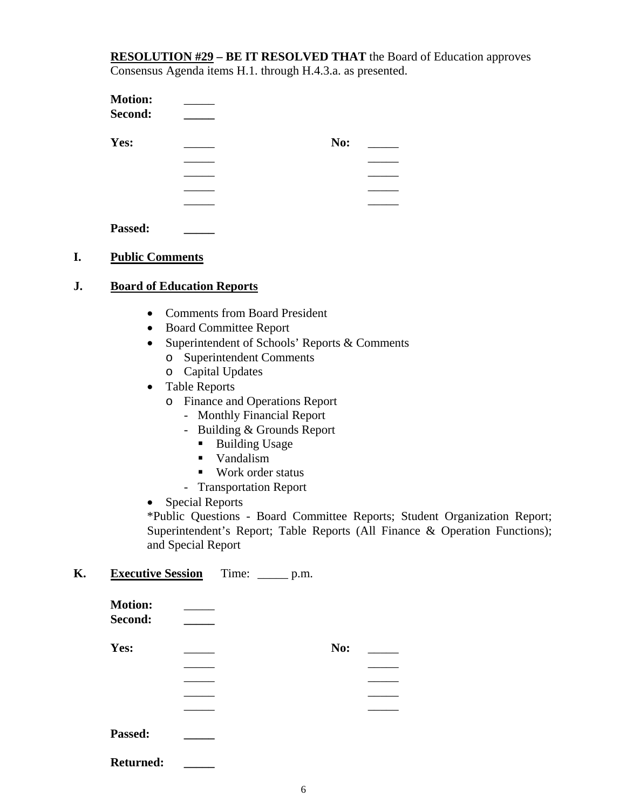**RESOLUTION #29 – BE IT RESOLVED THAT** the Board of Education approves Consensus Agenda items H.1. through H.4.3.a. as presented.

| <b>Motion:</b> |     |  |
|----------------|-----|--|
| Second:        |     |  |
| Yes:           | No: |  |
|                |     |  |
|                |     |  |
|                |     |  |
|                |     |  |
| Passed:        |     |  |

#### **I. Public Comments**

#### **J. Board of Education Reports**

- Comments from Board President
- Board Committee Report
- Superintendent of Schools' Reports & Comments
	- o Superintendent Comments
	- o Capital Updates
- Table Reports
	- o Finance and Operations Report
		- Monthly Financial Report
		- Building & Grounds Report
			- Building Usage
			- **Vandalism**
			- Work order status
		- Transportation Report
- Special Reports

\*Public Questions - Board Committee Reports; Student Organization Report; Superintendent's Report; Table Reports (All Finance & Operation Functions); and Special Report

# **K. Executive Session** Time: \_\_\_\_\_ p.m.

| <b>Motion:</b><br>Second: |     |  |
|---------------------------|-----|--|
| Yes:                      | No: |  |
|                           |     |  |
|                           |     |  |
|                           |     |  |
|                           |     |  |
| Passed:                   |     |  |
| <b>Returned:</b>          |     |  |